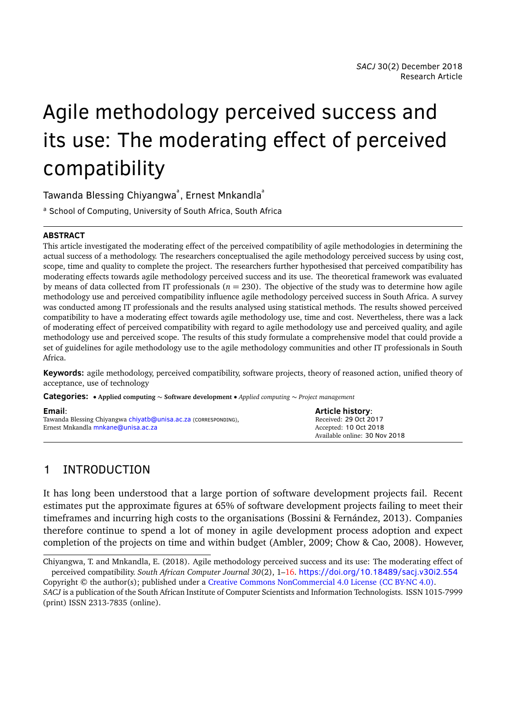# Agile methodology perceived success and its use: The moderating effect of perceived compatibility

Tawanda Blessing Chiyangwa<sup>ª</sup>, Ernest Mnkandla<sup>ª</sup>

a School of Computing, University of South Africa, South Africa

#### **ABSTRACT**

This article investigated the moderating effect of the perceived compatibility of agile methodologies in determining the actual success of a methodology. The researchers conceptualised the agile methodology perceived success by using cost, scope, time and quality to complete the project. The researchers further hypothesised that perceived compatibility has moderating effects towards agile methodology perceived success and its use. The theoretical framework was evaluated by means of data collected from IT professionals ( $n = 230$ ). The objective of the study was to determine how agile methodology use and perceived compatibility influence agile methodology perceived success in South Africa. A survey was conducted among IT professionals and the results analysed using statistical methods. The results showed perceived compatibility to have a moderating effect towards agile methodology use, time and cost. Nevertheless, there was a lack of moderating effect of perceived compatibility with regard to agile methodology use and perceived quality, and agile methodology use and perceived scope. The results of this study formulate a comprehensive model that could provide a set of guidelines for agile methodology use to the agile methodology communities and other IT professionals in South Africa.

**Keywords:** agile methodology, perceived compatibility, software projects, theory of reasoned action, unified theory of acceptance, use of technology

**Categories:** • **Applied computing** ∼ **Software development** • *Applied computing* ∼ *Project management*

| Email:                                                          | <b>Article history:</b>       |
|-----------------------------------------------------------------|-------------------------------|
| Tawanda Blessing Chiyangwa chiyatb@unisa.ac.za (corresponping), | Received: 29 Oct 2017         |
| Ernest Mnkandla mnkane@unisa.ac.za                              | Accepted: 10 Oct 2018         |
|                                                                 | Available online: 30 Nov 2018 |

## 1 INTRODUCTION

It has long been understood that a large portion of software development projects fail. Recent estimates put the approximate figures at 65% of software development projects failing to meet their timeframes and incurring high costs to the organisations (Bossini & Fernández, [2013\)](#page-13-0). Companies therefore continue to spend a lot of money in agile development process adoption and expect completion of the projects on time and within budget (Ambler, [2009;](#page-13-1) Chow & Cao, [2008\)](#page-13-2). However,

Chiyangwa, T. and Mnkandla, E. (2018). Agile methodology perceived success and its use: The moderating effect of perceived compatibility. *South African Computer Journal 30*(2), 1[–16.](#page-15-0) <https://doi.org/10.18489/sacj.v30i2.554>

Copyright © the author(s); published under a [Creative Commons NonCommercial 4.0 License \(CC BY-NC 4.0\).](http://creativecommons.org/licenses/by-nc/4.0/) *SACJ* is a publication of the South African Institute of Computer Scientists and Information Technologists. ISSN 1015-7999 (print) ISSN 2313-7835 (online).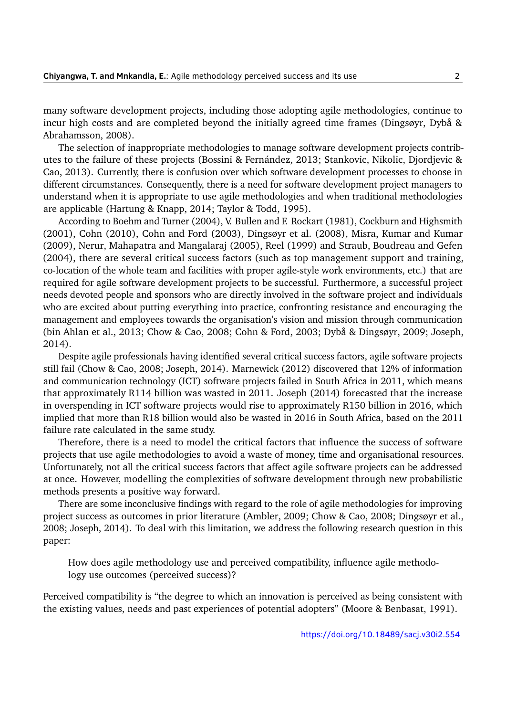many software development projects, including those adopting agile methodologies, continue to incur high costs and are completed beyond the initially agreed time frames (Dingsøyr, Dybå & Abrahamsson, [2008\)](#page-14-0).

The selection of inappropriate methodologies to manage software development projects contributes to the failure of these projects (Bossini & Fernández, [2013;](#page-13-0) Stankovic, Nikolic, Djordjevic & Cao, [2013\)](#page-15-1). Currently, there is confusion over which software development processes to choose in different circumstances. Consequently, there is a need for software development project managers to understand when it is appropriate to use agile methodologies and when traditional methodologies are applicable (Hartung & Knapp, [2014;](#page-14-1) Taylor & Todd, [1995\)](#page-15-2).

According to Boehm and Turner [\(2004\)](#page-13-3), V. Bullen and F. Rockart [\(1981\)](#page-15-3), Cockburn and Highsmith [\(2001\)](#page-13-4), Cohn [\(2010\)](#page-13-5), Cohn and Ford [\(2003\)](#page-14-2), Dingsøyr et al. [\(2008\)](#page-14-0), Misra, Kumar and Kumar [\(2009\)](#page-14-3), Nerur, Mahapatra and Mangalaraj [\(2005\)](#page-14-4), Reel [\(1999\)](#page-15-4) and Straub, Boudreau and Gefen [\(2004\)](#page-15-5), there are several critical success factors (such as top management support and training, co-location of the whole team and facilities with proper agile-style work environments, etc.) that are required for agile software development projects to be successful. Furthermore, a successful project needs devoted people and sponsors who are directly involved in the software project and individuals who are excited about putting everything into practice, confronting resistance and encouraging the management and employees towards the organisation's vision and mission through communication (bin Ahlan et al., [2013;](#page-13-6) Chow & Cao, [2008;](#page-13-2) Cohn & Ford, [2003;](#page-14-2) Dybå & Dingsøyr, [2009;](#page-14-5) Joseph, [2014\)](#page-14-6).

Despite agile professionals having identified several critical success factors, agile software projects still fail (Chow & Cao, [2008;](#page-13-2) Joseph, [2014\)](#page-14-6). Marnewick [\(2012\)](#page-14-7) discovered that 12% of information and communication technology (ICT) software projects failed in South Africa in 2011, which means that approximately R114 billion was wasted in 2011. Joseph [\(2014\)](#page-14-6) forecasted that the increase in overspending in ICT software projects would rise to approximately R150 billion in 2016, which implied that more than R18 billion would also be wasted in 2016 in South Africa, based on the 2011 failure rate calculated in the same study.

Therefore, there is a need to model the critical factors that influence the success of software projects that use agile methodologies to avoid a waste of money, time and organisational resources. Unfortunately, not all the critical success factors that affect agile software projects can be addressed at once. However, modelling the complexities of software development through new probabilistic methods presents a positive way forward.

There are some inconclusive findings with regard to the role of agile methodologies for improving project success as outcomes in prior literature (Ambler, [2009;](#page-13-1) Chow & Cao, [2008;](#page-13-2) Dingsøyr et al., [2008;](#page-14-0) Joseph, [2014\)](#page-14-6). To deal with this limitation, we address the following research question in this paper:

How does agile methodology use and perceived compatibility, influence agile methodology use outcomes (perceived success)?

Perceived compatibility is "the degree to which an innovation is perceived as being consistent with the existing values, needs and past experiences of potential adopters" (Moore & Benbasat, [1991\)](#page-14-8).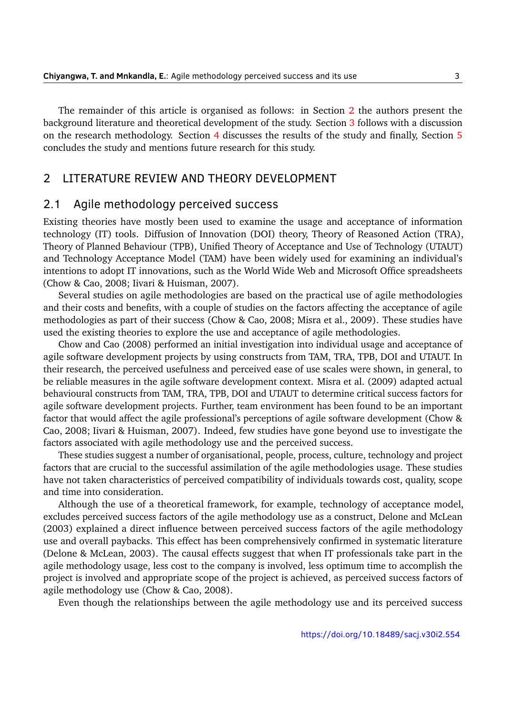The remainder of this article is organised as follows: in Section [2](#page-2-0) the authors present the background literature and theoretical development of the study. Section [3](#page-5-0) follows with a discussion on the research methodology. Section [4](#page-10-0) discusses the results of the study and finally, Section [5](#page-12-0) concludes the study and mentions future research for this study.

#### <span id="page-2-0"></span>2 LITERATURE REVIEW AND THEORY DEVELOPMENT

#### 2.1 Agile methodology perceived success

Existing theories have mostly been used to examine the usage and acceptance of information technology (IT) tools. Diffusion of Innovation (DOI) theory, Theory of Reasoned Action (TRA), Theory of Planned Behaviour (TPB), Unified Theory of Acceptance and Use of Technology (UTAUT) and Technology Acceptance Model (TAM) have been widely used for examining an individual's intentions to adopt IT innovations, such as the World Wide Web and Microsoft Office spreadsheets (Chow & Cao, [2008;](#page-13-2) Iivari & Huisman, [2007\)](#page-14-9).

Several studies on agile methodologies are based on the practical use of agile methodologies and their costs and benefits, with a couple of studies on the factors affecting the acceptance of agile methodologies as part of their success (Chow & Cao, [2008;](#page-13-2) Misra et al., [2009\)](#page-14-3). These studies have used the existing theories to explore the use and acceptance of agile methodologies.

Chow and Cao [\(2008\)](#page-13-2) performed an initial investigation into individual usage and acceptance of agile software development projects by using constructs from TAM, TRA, TPB, DOI and UTAUT. In their research, the perceived usefulness and perceived ease of use scales were shown, in general, to be reliable measures in the agile software development context. Misra et al. [\(2009\)](#page-14-3) adapted actual behavioural constructs from TAM, TRA, TPB, DOI and UTAUT to determine critical success factors for agile software development projects. Further, team environment has been found to be an important factor that would affect the agile professional's perceptions of agile software development (Chow & Cao, [2008;](#page-13-2) Iivari & Huisman, [2007\)](#page-14-9). Indeed, few studies have gone beyond use to investigate the factors associated with agile methodology use and the perceived success.

These studies suggest a number of organisational, people, process, culture, technology and project factors that are crucial to the successful assimilation of the agile methodologies usage. These studies have not taken characteristics of perceived compatibility of individuals towards cost, quality, scope and time into consideration.

Although the use of a theoretical framework, for example, technology of acceptance model, excludes perceived success factors of the agile methodology use as a construct, Delone and McLean [\(2003\)](#page-14-10) explained a direct influence between perceived success factors of the agile methodology use and overall paybacks. This effect has been comprehensively confirmed in systematic literature (Delone & McLean, [2003\)](#page-14-10). The causal effects suggest that when IT professionals take part in the agile methodology usage, less cost to the company is involved, less optimum time to accomplish the project is involved and appropriate scope of the project is achieved, as perceived success factors of agile methodology use (Chow & Cao, [2008\)](#page-13-2).

Even though the relationships between the agile methodology use and its perceived success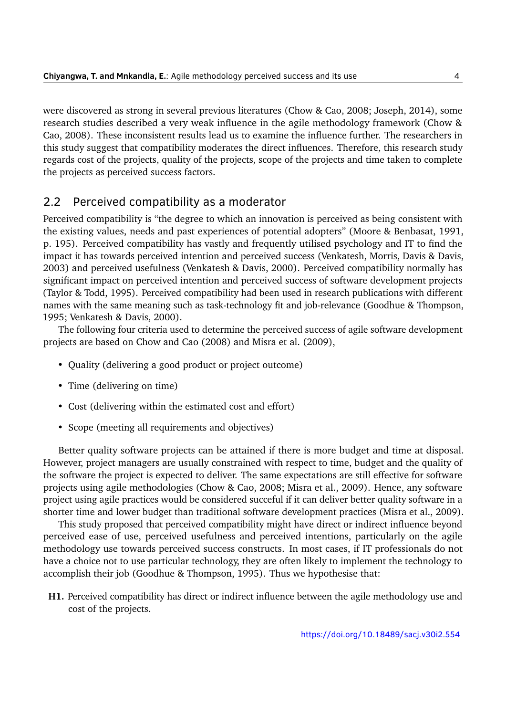were discovered as strong in several previous literatures (Chow & Cao, [2008;](#page-13-2) Joseph, [2014\)](#page-14-6), some research studies described a very weak influence in the agile methodology framework (Chow & Cao, [2008\)](#page-13-2). These inconsistent results lead us to examine the influence further. The researchers in this study suggest that compatibility moderates the direct influences. Therefore, this research study regards cost of the projects, quality of the projects, scope of the projects and time taken to complete the projects as perceived success factors.

## 2.2 Perceived compatibility as a moderator

Perceived compatibility is "the degree to which an innovation is perceived as being consistent with the existing values, needs and past experiences of potential adopters" (Moore & Benbasat, [1991,](#page-14-8) p. 195). Perceived compatibility has vastly and frequently utilised psychology and IT to find the impact it has towards perceived intention and perceived success (Venkatesh, Morris, Davis & Davis, [2003\)](#page-15-6) and perceived usefulness (Venkatesh & Davis, [2000\)](#page-15-7). Perceived compatibility normally has significant impact on perceived intention and perceived success of software development projects (Taylor & Todd, [1995\)](#page-15-2). Perceived compatibility had been used in research publications with different names with the same meaning such as task-technology fit and job-relevance (Goodhue & Thompson, [1995;](#page-14-11) Venkatesh & Davis, [2000\)](#page-15-7).

The following four criteria used to determine the perceived success of agile software development projects are based on Chow and Cao [\(2008\)](#page-13-2) and Misra et al. [\(2009\)](#page-14-3),

- Quality (delivering a good product or project outcome)
- Time (delivering on time)
- Cost (delivering within the estimated cost and effort)
- Scope (meeting all requirements and objectives)

Better quality software projects can be attained if there is more budget and time at disposal. However, project managers are usually constrained with respect to time, budget and the quality of the software the project is expected to deliver. The same expectations are still effective for software projects using agile methodologies (Chow & Cao, [2008;](#page-13-2) Misra et al., [2009\)](#page-14-3). Hence, any software project using agile practices would be considered succeful if it can deliver better quality software in a shorter time and lower budget than traditional software development practices (Misra et al., [2009\)](#page-14-3).

This study proposed that perceived compatibility might have direct or indirect influence beyond perceived ease of use, perceived usefulness and perceived intentions, particularly on the agile methodology use towards perceived success constructs. In most cases, if IT professionals do not have a choice not to use particular technology, they are often likely to implement the technology to accomplish their job (Goodhue & Thompson, [1995\)](#page-14-11). Thus we hypothesise that:

**H1.** Perceived compatibility has direct or indirect influence between the agile methodology use and cost of the projects.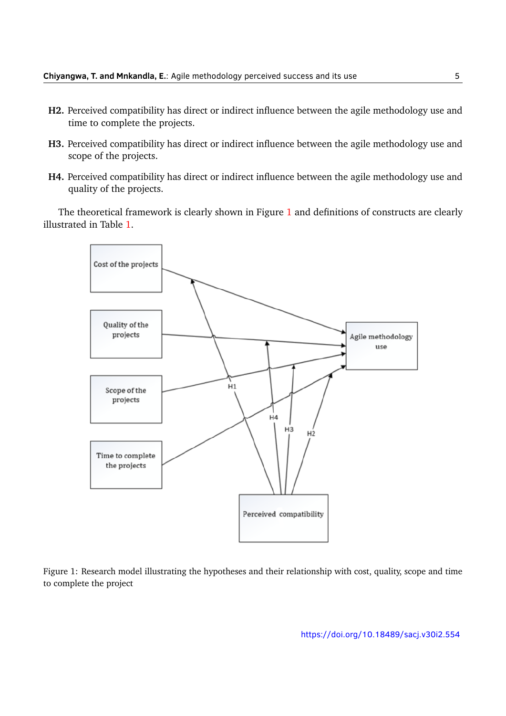- **H2.** Perceived compatibility has direct or indirect influence between the agile methodology use and time to complete the projects.
- **H3.** Perceived compatibility has direct or indirect influence between the agile methodology use and scope of the projects.
- **H4.** Perceived compatibility has direct or indirect influence between the agile methodology use and quality of the projects.

<span id="page-4-0"></span>The theoretical framework is clearly shown in Figure [1](#page-4-0) and definitions of constructs are clearly illustrated in Table [1.](#page-5-1)



Figure 1: Research model illustrating the hypotheses and their relationship with cost, quality, scope and time to complete the project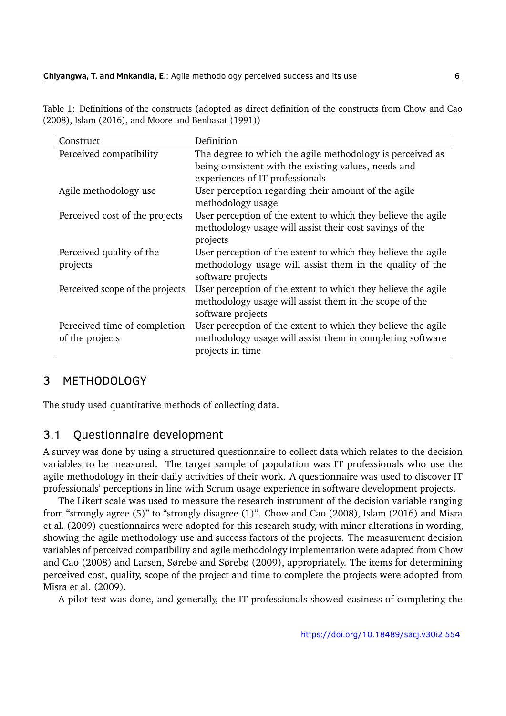<span id="page-5-1"></span>Table 1: Definitions of the constructs (adopted as direct definition of the constructs from Chow and Cao [\(2008\)](#page-13-2), Islam [\(2016\)](#page-14-12), and Moore and Benbasat [\(1991\)](#page-14-8))

| Construct                       | Definition                                                    |
|---------------------------------|---------------------------------------------------------------|
| Perceived compatibility         | The degree to which the agile methodology is perceived as     |
|                                 | being consistent with the existing values, needs and          |
|                                 | experiences of IT professionals                               |
| Agile methodology use           | User perception regarding their amount of the agile           |
|                                 | methodology usage                                             |
| Perceived cost of the projects  | User perception of the extent to which they believe the agile |
|                                 | methodology usage will assist their cost savings of the       |
|                                 | projects                                                      |
| Perceived quality of the        | User perception of the extent to which they believe the agile |
| projects                        | methodology usage will assist them in the quality of the      |
|                                 | software projects                                             |
| Perceived scope of the projects | User perception of the extent to which they believe the agile |
|                                 | methodology usage will assist them in the scope of the        |
|                                 | software projects                                             |
| Perceived time of completion    | User perception of the extent to which they believe the agile |
| of the projects                 | methodology usage will assist them in completing software     |
|                                 | projects in time                                              |

#### <span id="page-5-0"></span>3 METHODOLOGY

The study used quantitative methods of collecting data.

### 3.1 Questionnaire development

A survey was done by using a structured questionnaire to collect data which relates to the decision variables to be measured. The target sample of population was IT professionals who use the agile methodology in their daily activities of their work. A questionnaire was used to discover IT professionals' perceptions in line with Scrum usage experience in software development projects.

The Likert scale was used to measure the research instrument of the decision variable ranging from "strongly agree (5)" to "strongly disagree (1)". Chow and Cao [\(2008\)](#page-13-2), Islam [\(2016\)](#page-14-12) and Misra et al. [\(2009\)](#page-14-3) questionnaires were adopted for this research study, with minor alterations in wording, showing the agile methodology use and success factors of the projects. The measurement decision variables of perceived compatibility and agile methodology implementation were adapted from Chow and Cao [\(2008\)](#page-13-2) and Larsen, Sørebø and Sørebø [\(2009\)](#page-14-13), appropriately. The items for determining perceived cost, quality, scope of the project and time to complete the projects were adopted from Misra et al. [\(2009\)](#page-14-3).

A pilot test was done, and generally, the IT professionals showed easiness of completing the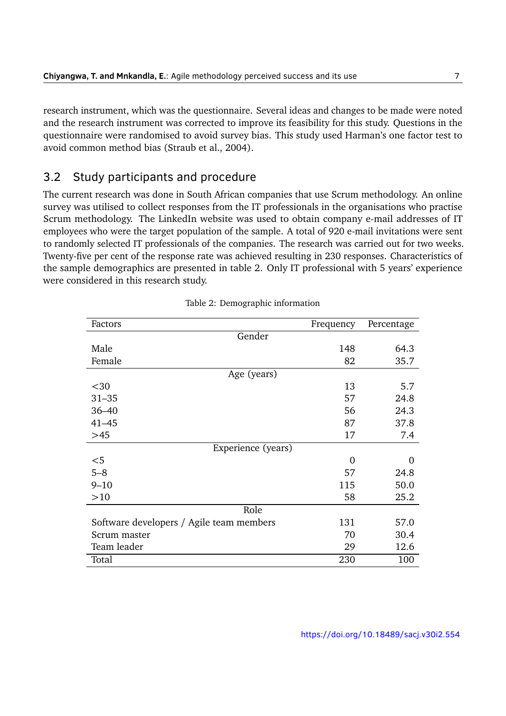research instrument, which was the questionnaire. Several ideas and changes to be made were noted and the research instrument was corrected to improve its feasibility for this study. Questions in the questionnaire were randomised to avoid survey bias. This study used Harman's one factor test to avoid common method bias (Straub et al., [2004\)](#page-15-5).

## 3.2 Study participants and procedure

The current research was done in South African companies that use Scrum methodology. An online survey was utilised to collect responses from the IT professionals in the organisations who practise Scrum methodology. The LinkedIn website was used to obtain company e-mail addresses of IT employees who were the target population of the sample. A total of 920 e-mail invitations were sent to randomly selected IT professionals of the companies. The research was carried out for two weeks. Twenty-five per cent of the response rate was achieved resulting in 230 responses. Characteristics of the sample demographics are presented in table 2. Only IT professional with 5 years' experience were considered in this research study.

| Factors                                  | Frequency | Percentage |
|------------------------------------------|-----------|------------|
| Gender                                   |           |            |
| Male                                     | 148       | 64.3       |
| Female                                   | 82        | 35.7       |
| Age (years)                              |           |            |
| $30$                                     | 13        | 5.7        |
| $31 - 35$                                | 57        | 24.8       |
| $36 - 40$                                | 56        | 24.3       |
| $41 - 45$                                | 87        | 37.8       |
| $>45$                                    | 17        | 7.4        |
| Experience (years)                       |           |            |
| $<$ 5                                    | 0         | 0          |
| $5 - 8$                                  | 57        | 24.8       |
| $9 - 10$                                 | 115       | 50.0       |
| >10                                      | 58        | 25.2       |
| Role                                     |           |            |
| Software developers / Agile team members | 131       | 57.0       |
| Scrum master                             | 70        | 30.4       |
| Team leader                              | 29        | 12.6       |
| Total                                    | 230       | 100        |

| Table 2: Demographic information |  |
|----------------------------------|--|
|                                  |  |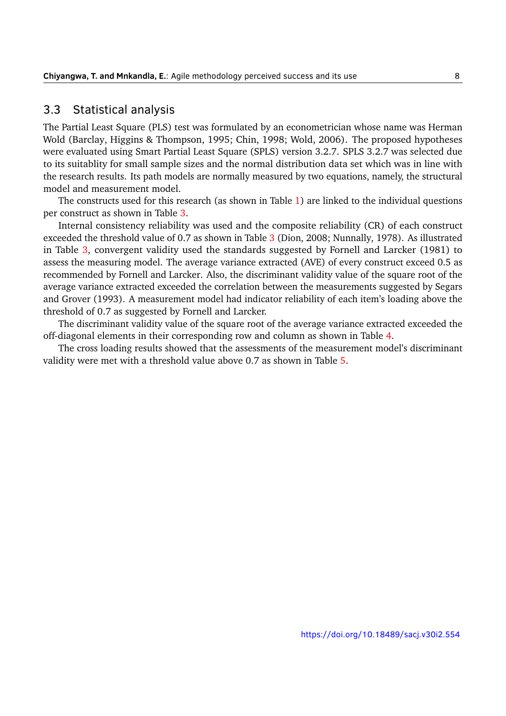#### 3.3 Statistical analysis

The Partial Least Square (PLS) test was formulated by an econometrician whose name was Herman Wold (Barclay, Higgins & Thompson, [1995;](#page-13-7) Chin, [1998;](#page-13-8) Wold, [2006\)](#page-15-8). The proposed hypotheses were evaluated using Smart Partial Least Square (SPLS) version 3.2.7. SPLS 3.2.7 was selected due to its suitablity for small sample sizes and the normal distribution data set which was in line with the research results. Its path models are normally measured by two equations, namely, the structural model and measurement model.

The constructs used for this research (as shown in Table [1\)](#page-5-1) are linked to the individual questions per construct as shown in Table [3.](#page-8-0)

Internal consistency reliability was used and the composite reliability (CR) of each construct exceeded the threshold value of 0.7 as shown in Table [3](#page-8-0) (Dion, [2008;](#page-14-14) Nunnally, [1978\)](#page-14-15). As illustrated in Table [3,](#page-8-0) convergent validity used the standards suggested by Fornell and Larcker [\(1981\)](#page-14-16) to assess the measuring model. The average variance extracted (AVE) of every construct exceed 0.5 as recommended by Fornell and Larcker. Also, the discriminant validity value of the square root of the average variance extracted exceeded the correlation between the measurements suggested by Segars and Grover [\(1993\)](#page-15-9). A measurement model had indicator reliability of each item's loading above the threshold of 0.7 as suggested by Fornell and Larcker.

The discriminant validity value of the square root of the average variance extracted exceeded the off-diagonal elements in their corresponding row and column as shown in Table [4.](#page-9-0)

The cross loading results showed that the assessments of the measurement model's discriminant validity were met with a threshold value above 0.7 as shown in Table [5.](#page-9-1)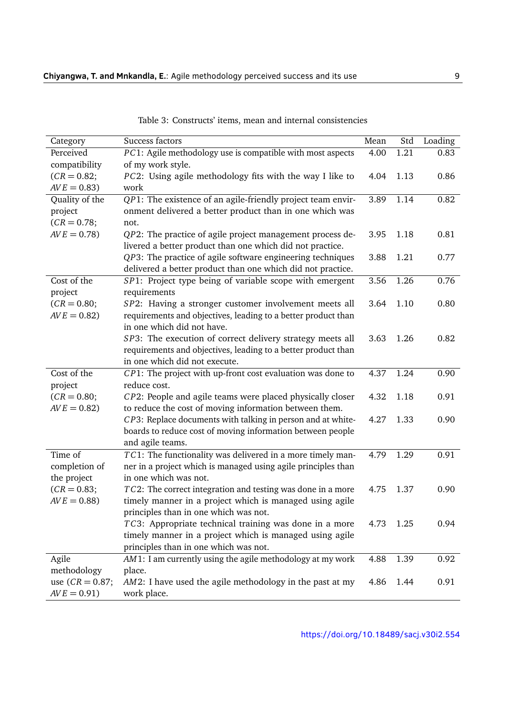<span id="page-8-0"></span>

| Category            | Success factors                                                                                                        | Mean | Std  | Loading |
|---------------------|------------------------------------------------------------------------------------------------------------------------|------|------|---------|
| Perceived           | PC1: Agile methodology use is compatible with most aspects                                                             | 4.00 | 1.21 | 0.83    |
| compatibility       | of my work style.                                                                                                      |      |      |         |
| $(CR = 0.82;$       | PC2: Using agile methodology fits with the way I like to                                                               | 4.04 | 1.13 | 0.86    |
| $AVE = 0.83)$       | work                                                                                                                   |      |      |         |
| Quality of the      | QP1: The existence of an agile-friendly project team envir-                                                            | 3.89 | 1.14 | 0.82    |
| project             | onment delivered a better product than in one which was                                                                |      |      |         |
| $(CR = 0.78;$       | not.                                                                                                                   | 3.95 |      |         |
| $AVE = 0.78$        | QP2: The practice of agile project management process de-<br>livered a better product than one which did not practice. |      | 1.18 | 0.81    |
|                     | QP3: The practice of agile software engineering techniques                                                             | 3.88 | 1.21 | 0.77    |
|                     | delivered a better product than one which did not practice.                                                            |      |      |         |
| Cost of the         | SP1: Project type being of variable scope with emergent                                                                | 3.56 | 1.26 | 0.76    |
| project             | requirements                                                                                                           |      |      |         |
| $(CR = 0.80;$       | SP2: Having a stronger customer involvement meets all                                                                  | 3.64 | 1.10 | 0.80    |
| $AVE = 0.82$        | requirements and objectives, leading to a better product than                                                          |      |      |         |
|                     | in one which did not have.                                                                                             |      |      |         |
|                     | SP3: The execution of correct delivery strategy meets all                                                              | 3.63 | 1.26 | 0.82    |
|                     | requirements and objectives, leading to a better product than                                                          |      |      |         |
|                     | in one which did not execute.                                                                                          |      |      |         |
| Cost of the         | CP1: The project with up-front cost evaluation was done to                                                             | 4.37 | 1.24 | 0.90    |
| project             | reduce cost.                                                                                                           |      |      |         |
| $(CR = 0.80;$       | CP2: People and agile teams were placed physically closer                                                              | 4.32 | 1.18 | 0.91    |
| $AVE = 0.82)$       | to reduce the cost of moving information between them.                                                                 |      |      |         |
|                     | CP3: Replace documents with talking in person and at white-                                                            | 4.27 | 1.33 | 0.90    |
|                     | boards to reduce cost of moving information between people                                                             |      |      |         |
|                     | and agile teams.                                                                                                       |      |      |         |
| Time of             | TC1: The functionality was delivered in a more timely man-                                                             | 4.79 | 1.29 | 0.91    |
| completion of       | ner in a project which is managed using agile principles than                                                          |      |      |         |
| the project         | in one which was not.                                                                                                  |      |      |         |
| $(CR = 0.83;$       | TC2: The correct integration and testing was done in a more                                                            | 4.75 | 1.37 | 0.90    |
| $AVE = 0.88$        | timely manner in a project which is managed using agile                                                                |      |      |         |
|                     | principles than in one which was not.                                                                                  |      |      |         |
|                     | TC3: Appropriate technical training was done in a more<br>timely manner in a project which is managed using agile      | 4.73 | 1.25 | 0.94    |
|                     | principles than in one which was not.                                                                                  |      |      |         |
| Agile               | AM1: I am currently using the agile methodology at my work                                                             | 4.88 | 1.39 | 0.92    |
| methodology         | place.                                                                                                                 |      |      |         |
| use $(CR = 0.87)$ ; | AM2: I have used the agile methodology in the past at my                                                               | 4.86 | 1.44 | 0.91    |
| $AVE = 0.91)$       | work place.                                                                                                            |      |      |         |

Table 3: Constructs' items, mean and internal consistencies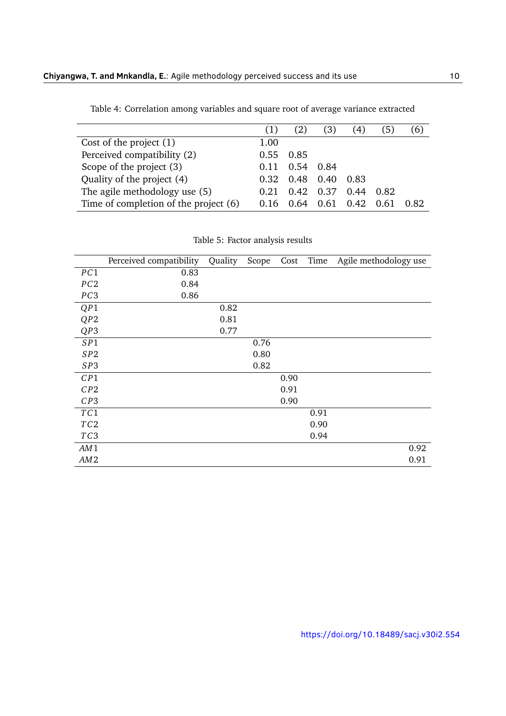<span id="page-9-0"></span>

|                                       | (1)  |      | (3)  | 4)   | (5)  | (6)  |
|---------------------------------------|------|------|------|------|------|------|
| Cost of the project $(1)$             | 1.00 |      |      |      |      |      |
| Perceived compatibility (2)           | 0.55 | 0.85 |      |      |      |      |
| Scope of the project (3)              | 0.11 | 0.54 | 0.84 |      |      |      |
| Quality of the project (4)            | 0.32 | 0.48 | 0.40 | 0.83 |      |      |
| The agile methodology use (5)         | 0.21 | 0.42 | 0.37 | 0.44 | 0.82 |      |
| Time of completion of the project (6) | 0.16 | በ 64 | 0.61 | 0.42 | 0.61 | 0.82 |

Table 4: Correlation among variables and square root of average variance extracted

Table 5: Factor analysis results

<span id="page-9-1"></span>

|                 | Perceived compatibility | Quality | Scope | Cost | Time | Agile methodology use |
|-----------------|-------------------------|---------|-------|------|------|-----------------------|
| PC1             | 0.83                    |         |       |      |      |                       |
| PC2             | 0.84                    |         |       |      |      |                       |
| PC3             | 0.86                    |         |       |      |      |                       |
| QP1             |                         | 0.82    |       |      |      |                       |
| QP2             |                         | 0.81    |       |      |      |                       |
| QP3             |                         | 0.77    |       |      |      |                       |
| SP1             |                         |         | 0.76  |      |      |                       |
| SP2             |                         |         | 0.80  |      |      |                       |
| SP3             |                         |         | 0.82  |      |      |                       |
| CP1             |                         |         |       | 0.90 |      |                       |
| CP2             |                         |         |       | 0.91 |      |                       |
| CP3             |                         |         |       | 0.90 |      |                       |
| TC1             |                         |         |       |      | 0.91 |                       |
| TC2             |                         |         |       |      | 0.90 |                       |
| TC <sub>3</sub> |                         |         |       |      | 0.94 |                       |
| AM1             |                         |         |       |      |      | 0.92                  |
| AM <sub>2</sub> |                         |         |       |      |      | 0.91                  |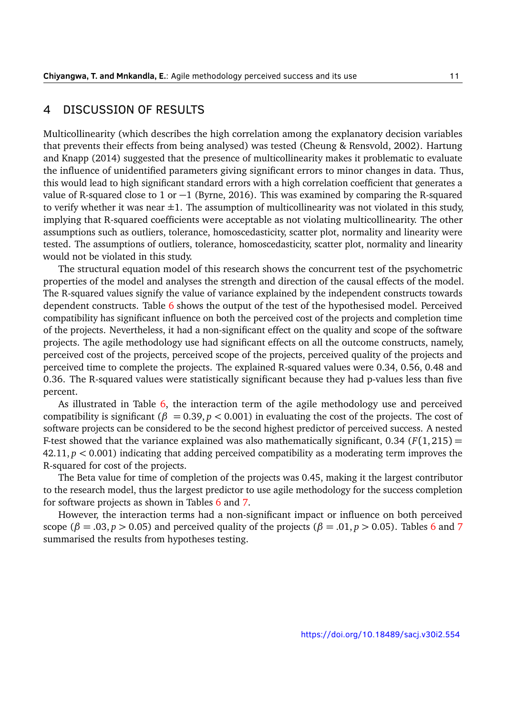#### <span id="page-10-0"></span>4 DISCUSSION OF RESULTS

Multicollinearity (which describes the high correlation among the explanatory decision variables that prevents their effects from being analysed) was tested (Cheung & Rensvold, [2002\)](#page-13-9). Hartung and Knapp [\(2014\)](#page-14-1) suggested that the presence of multicollinearity makes it problematic to evaluate the influence of unidentified parameters giving significant errors to minor changes in data. Thus, this would lead to high significant standard errors with a high correlation coefficient that generates a value of R-squared close to 1 or −1 (Byrne, [2016\)](#page-13-10). This was examined by comparing the R-squared to verify whether it was near  $\pm 1$ . The assumption of multicollinearity was not violated in this study, implying that R-squared coefficients were acceptable as not violating multicollinearity. The other assumptions such as outliers, tolerance, homoscedasticity, scatter plot, normality and linearity were tested. The assumptions of outliers, tolerance, homoscedasticity, scatter plot, normality and linearity would not be violated in this study.

The structural equation model of this research shows the concurrent test of the psychometric properties of the model and analyses the strength and direction of the causal effects of the model. The R-squared values signify the value of variance explained by the independent constructs towards dependent constructs. Table [6](#page-11-0) shows the output of the test of the hypothesised model. Perceived compatibility has significant influence on both the perceived cost of the projects and completion time of the projects. Nevertheless, it had a non-significant effect on the quality and scope of the software projects. The agile methodology use had significant effects on all the outcome constructs, namely, perceived cost of the projects, perceived scope of the projects, perceived quality of the projects and perceived time to complete the projects. The explained R-squared values were 0.34, 0.56, 0.48 and 0.36. The R-squared values were statistically significant because they had p-values less than five percent.

As illustrated in Table [6,](#page-11-0) the interaction term of the agile methodology use and perceived compatibility is significant ( $\beta = 0.39, p < 0.001$ ) in evaluating the cost of the projects. The cost of software projects can be considered to be the second highest predictor of perceived success. A nested F-test showed that the variance explained was also mathematically significant,  $0.34$  ( $F(1,215) =$ 42.11, *p <* 0.001) indicating that adding perceived compatibility as a moderating term improves the R-squared for cost of the projects.

The Beta value for time of completion of the projects was 0.45, making it the largest contributor to the research model, thus the largest predictor to use agile methodology for the success completion for software projects as shown in Tables [6](#page-11-0) and [7.](#page-11-1)

However, the interaction terms had a non-significant impact or influence on both perceived scope ( $\beta = .03$ ,  $p > 0.05$ ) and perceived quality of the projects ( $\beta = .01$ ,  $p > 0.05$ ). Tables [6](#page-11-0) and [7](#page-11-1) summarised the results from hypotheses testing.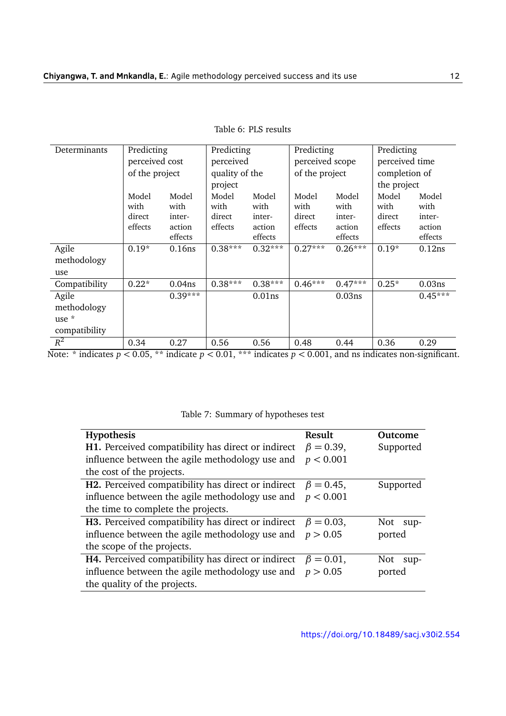<span id="page-11-0"></span>

| Determinants  | Predicting     |                    | Predicting     |               | Predicting      |                | Predicting     |               |  |
|---------------|----------------|--------------------|----------------|---------------|-----------------|----------------|----------------|---------------|--|
|               | perceived cost |                    | perceived      |               | perceived scope |                | perceived time |               |  |
|               | of the project |                    | quality of the |               |                 | of the project |                | completion of |  |
|               |                |                    | project        |               |                 |                | the project    |               |  |
|               | Model<br>with  | Model<br>with      | Model<br>with  | Model<br>with | Model<br>with   | Model<br>with  | Model<br>with  | Model<br>with |  |
|               | direct         | inter-             | direct         | inter-        | direct          | inter-         | direct         | inter-        |  |
|               | effects        | action             | effects        | action        | effects         | action         | effects        | action        |  |
|               |                | effects            |                | effects       |                 | effects        |                | effects       |  |
| Agile         | $0.19*$        | 0.16ns             | $0.38***$      | $0.32***$     | $0.27***$       | $0.26***$      | $0.19*$        | 0.12ns        |  |
| methodology   |                |                    |                |               |                 |                |                |               |  |
| use           |                |                    |                |               |                 |                |                |               |  |
| Compatibility | $0.22*$        | 0.04 <sub>ns</sub> | $0.38***$      | $0.38***$     | $0.46***$       | $0.47***$      | $0.25*$        | 0.03ns        |  |
| Agile         |                | $0.39***$          |                | $0.01$ ns     |                 | 0.03ns         |                | $0.45***$     |  |
| methodology   |                |                    |                |               |                 |                |                |               |  |
| use $*$       |                |                    |                |               |                 |                |                |               |  |
| compatibility |                |                    |                |               |                 |                |                |               |  |
| $R^2$         | 0.34           | 0.27               | 0.56           | 0.56          | 0.48            | 0.44           | 0.36           | 0.29          |  |

| Table 6: PLS results |  |
|----------------------|--|
|----------------------|--|

Note: \* indicates *p <* 0.05, \*\* indicate *p <* 0.01, \*\*\* indicates *p <* 0.001, and ns indicates non-significant.

#### Table 7: Summary of hypotheses test

<span id="page-11-1"></span>

| <b>Hypothesis</b>                                                          | <b>Result</b>    | Outcome     |
|----------------------------------------------------------------------------|------------------|-------------|
| H1. Perceived compatibility has direct or indirect                         | $\beta = 0.39$ , | Supported   |
| influence between the agile methodology use and                            | p < 0.001        |             |
| the cost of the projects.                                                  |                  |             |
| <b>H2.</b> Perceived compatibility has direct or indirect $\beta = 0.45$ , |                  | Supported   |
| influence between the agile methodology use and $p < 0.001$                |                  |             |
| the time to complete the projects.                                         |                  |             |
| <b>H3.</b> Perceived compatibility has direct or indirect $\beta = 0.03$ , |                  | Not sup-    |
| influence between the agile methodology use and $p > 0.05$                 |                  | ported      |
| the scope of the projects.                                                 |                  |             |
| <b>H4.</b> Perceived compatibility has direct or indirect $\beta = 0.01$ , |                  | Not<br>sup- |
| influence between the agile methodology use and $p > 0.05$                 |                  | ported      |
| the quality of the projects.                                               |                  |             |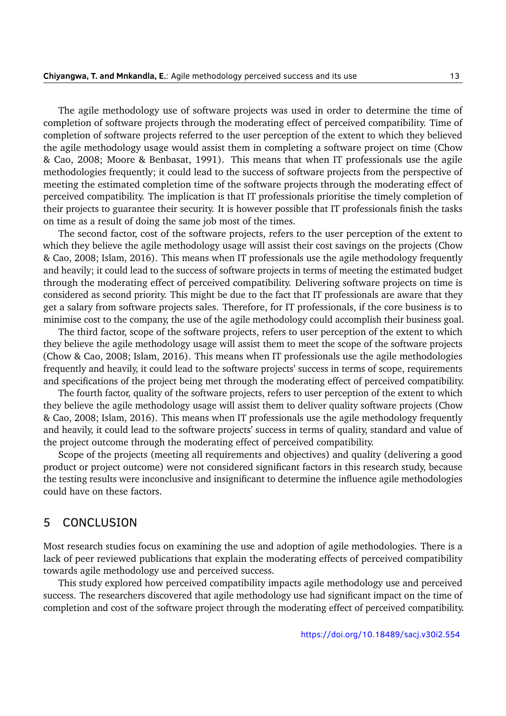The agile methodology use of software projects was used in order to determine the time of completion of software projects through the moderating effect of perceived compatibility. Time of completion of software projects referred to the user perception of the extent to which they believed the agile methodology usage would assist them in completing a software project on time (Chow & Cao, [2008;](#page-13-2) Moore & Benbasat, [1991\)](#page-14-8). This means that when IT professionals use the agile methodologies frequently; it could lead to the success of software projects from the perspective of meeting the estimated completion time of the software projects through the moderating effect of perceived compatibility. The implication is that IT professionals prioritise the timely completion of their projects to guarantee their security. It is however possible that IT professionals finish the tasks on time as a result of doing the same job most of the times.

The second factor, cost of the software projects, refers to the user perception of the extent to which they believe the agile methodology usage will assist their cost savings on the projects (Chow & Cao, [2008;](#page-13-2) Islam, [2016\)](#page-14-12). This means when IT professionals use the agile methodology frequently and heavily; it could lead to the success of software projects in terms of meeting the estimated budget through the moderating effect of perceived compatibility. Delivering software projects on time is considered as second priority. This might be due to the fact that IT professionals are aware that they get a salary from software projects sales. Therefore, for IT professionals, if the core business is to minimise cost to the company, the use of the agile methodology could accomplish their business goal.

The third factor, scope of the software projects, refers to user perception of the extent to which they believe the agile methodology usage will assist them to meet the scope of the software projects (Chow & Cao, [2008;](#page-13-2) Islam, [2016\)](#page-14-12). This means when IT professionals use the agile methodologies frequently and heavily, it could lead to the software projects' success in terms of scope, requirements and specifications of the project being met through the moderating effect of perceived compatibility.

The fourth factor, quality of the software projects, refers to user perception of the extent to which they believe the agile methodology usage will assist them to deliver quality software projects (Chow & Cao, [2008;](#page-13-2) Islam, [2016\)](#page-14-12). This means when IT professionals use the agile methodology frequently and heavily, it could lead to the software projects' success in terms of quality, standard and value of the project outcome through the moderating effect of perceived compatibility.

Scope of the projects (meeting all requirements and objectives) and quality (delivering a good product or project outcome) were not considered significant factors in this research study, because the testing results were inconclusive and insignificant to determine the influence agile methodologies could have on these factors.

#### <span id="page-12-0"></span>5 CONCLUSION

Most research studies focus on examining the use and adoption of agile methodologies. There is a lack of peer reviewed publications that explain the moderating effects of perceived compatibility towards agile methodology use and perceived success.

This study explored how perceived compatibility impacts agile methodology use and perceived success. The researchers discovered that agile methodology use had significant impact on the time of completion and cost of the software project through the moderating effect of perceived compatibility.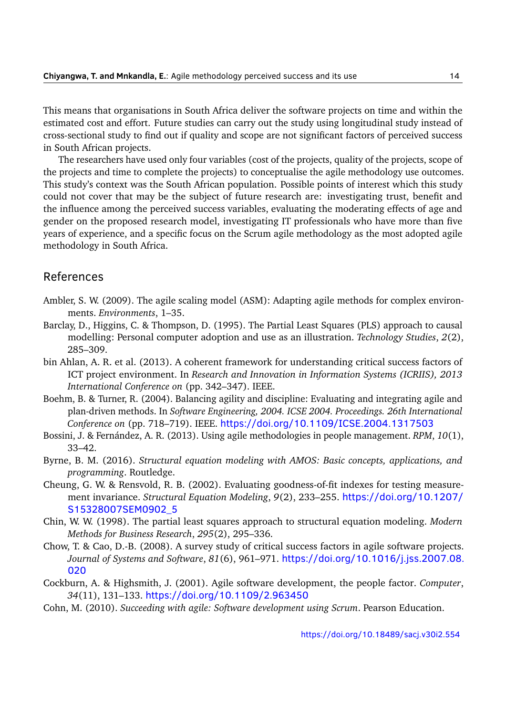This means that organisations in South Africa deliver the software projects on time and within the estimated cost and effort. Future studies can carry out the study using longitudinal study instead of cross-sectional study to find out if quality and scope are not significant factors of perceived success in South African projects.

The researchers have used only four variables (cost of the projects, quality of the projects, scope of the projects and time to complete the projects) to conceptualise the agile methodology use outcomes. This study's context was the South African population. Possible points of interest which this study could not cover that may be the subject of future research are: investigating trust, benefit and the influence among the perceived success variables, evaluating the moderating effects of age and gender on the proposed research model, investigating IT professionals who have more than five years of experience, and a specific focus on the Scrum agile methodology as the most adopted agile methodology in South Africa.

## References

- <span id="page-13-1"></span>Ambler, S. W. (2009). The agile scaling model (ASM): Adapting agile methods for complex environments. *Environments*, 1–35.
- <span id="page-13-7"></span>Barclay, D., Higgins, C. & Thompson, D. (1995). The Partial Least Squares (PLS) approach to causal modelling: Personal computer adoption and use as an illustration. *Technology Studies*, *2*(2), 285–309.
- <span id="page-13-6"></span>bin Ahlan, A. R. et al. (2013). A coherent framework for understanding critical success factors of ICT project environment. In *Research and Innovation in Information Systems (ICRIIS), 2013 International Conference on* (pp. 342–347). IEEE.
- <span id="page-13-3"></span>Boehm, B. & Turner, R. (2004). Balancing agility and discipline: Evaluating and integrating agile and plan-driven methods. In *Software Engineering, 2004. ICSE 2004. Proceedings. 26th International Conference on* (pp. 718–719). IEEE. <https://doi.org/10.1109/ICSE.2004.1317503>
- <span id="page-13-0"></span>Bossini, J. & Fernández, A. R. (2013). Using agile methodologies in people management. *RPM*, *10*(1), 33–42.
- <span id="page-13-10"></span>Byrne, B. M. (2016). *Structural equation modeling with AMOS: Basic concepts, applications, and programming*. Routledge.
- <span id="page-13-9"></span>Cheung, G. W. & Rensvold, R. B. (2002). Evaluating goodness-of-fit indexes for testing measurement invariance. *Structural Equation Modeling*, *9*(2), 233–255. [https://doi.org/10.1207/](https://doi.org/10.1207/S15328007SEM0902_5) [S15328007SEM0902\\_5](https://doi.org/10.1207/S15328007SEM0902_5)
- <span id="page-13-8"></span>Chin, W. W. (1998). The partial least squares approach to structural equation modeling. *Modern Methods for Business Research*, *295*(2), 295–336.
- <span id="page-13-2"></span>Chow, T. & Cao, D.-B. (2008). A survey study of critical success factors in agile software projects. *Journal of Systems and Software*, *81*(6), 961–971. [https://doi.org/10.1016/j.jss.2007.08.](https://doi.org/10.1016/j.jss.2007.08.020) [020](https://doi.org/10.1016/j.jss.2007.08.020)
- <span id="page-13-4"></span>Cockburn, A. & Highsmith, J. (2001). Agile software development, the people factor. *Computer*, *34*(11), 131–133. <https://doi.org/10.1109/2.963450>
- <span id="page-13-5"></span>Cohn, M. (2010). *Succeeding with agile: Software development using Scrum*. Pearson Education.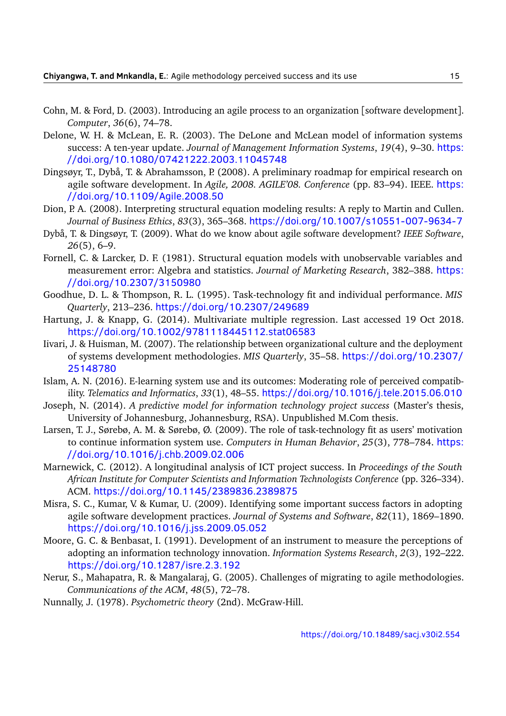- <span id="page-14-2"></span>Cohn, M. & Ford, D. (2003). Introducing an agile process to an organization [software development]. *Computer*, *36*(6), 74–78.
- <span id="page-14-10"></span>Delone, W. H. & McLean, E. R. (2003). The DeLone and McLean model of information systems success: A ten-year update. *Journal of Management Information Systems*, *19*(4), 9–30. [https:](https://doi.org/10.1080/07421222.2003.11045748) [//doi.org/10.1080/07421222.2003.11045748](https://doi.org/10.1080/07421222.2003.11045748)
- <span id="page-14-0"></span>Dingsøyr, T., Dybå, T. & Abrahamsson, P. (2008). A preliminary roadmap for empirical research on agile software development. In *Agile, 2008. AGILE'08. Conference* (pp. 83–94). IEEE. [https:](https://doi.org/10.1109/Agile.2008.50) [//doi.org/10.1109/Agile.2008.50](https://doi.org/10.1109/Agile.2008.50)
- <span id="page-14-14"></span>Dion, P. A. (2008). Interpreting structural equation modeling results: A reply to Martin and Cullen. *Journal of Business Ethics*, *83*(3), 365–368. <https://doi.org/10.1007/s10551-007-9634-7>
- <span id="page-14-5"></span>Dybå, T. & Dingsøyr, T. (2009). What do we know about agile software development? *IEEE Software*, *26*(5), 6–9.
- <span id="page-14-16"></span>Fornell, C. & Larcker, D. F. (1981). Structural equation models with unobservable variables and measurement error: Algebra and statistics. *Journal of Marketing Research*, 382–388. [https:](https://doi.org/10.2307/3150980) [//doi.org/10.2307/3150980](https://doi.org/10.2307/3150980)
- <span id="page-14-11"></span>Goodhue, D. L. & Thompson, R. L. (1995). Task-technology fit and individual performance. *MIS Quarterly*, 213–236. <https://doi.org/10.2307/249689>
- <span id="page-14-1"></span>Hartung, J. & Knapp, G. (2014). Multivariate multiple regression. Last accessed 19 Oct 2018. <https://doi.org/10.1002/9781118445112.stat06583>
- <span id="page-14-9"></span>Iivari, J. & Huisman, M. (2007). The relationship between organizational culture and the deployment of systems development methodologies. *MIS Quarterly*, 35–58. [https://doi.org/10.2307/](https://doi.org/10.2307/25148780) [25148780](https://doi.org/10.2307/25148780)
- <span id="page-14-12"></span>Islam, A. N. (2016). E-learning system use and its outcomes: Moderating role of perceived compatibility. *Telematics and Informatics*, *33*(1), 48–55. <https://doi.org/10.1016/j.tele.2015.06.010>
- <span id="page-14-6"></span>Joseph, N. (2014). *A predictive model for information technology project success* (Master's thesis, University of Johannesburg, Johannesburg, RSA). Unpublished M.Com thesis.
- <span id="page-14-13"></span>Larsen, T. J., Sørebø, A. M. & Sørebø, Ø. (2009). The role of task-technology fit as users' motivation to continue information system use. *Computers in Human Behavior*, *25*(3), 778–784. [https:](https://doi.org/10.1016/j.chb.2009.02.006) [//doi.org/10.1016/j.chb.2009.02.006](https://doi.org/10.1016/j.chb.2009.02.006)
- <span id="page-14-7"></span>Marnewick, C. (2012). A longitudinal analysis of ICT project success. In *Proceedings of the South African Institute for Computer Scientists and Information Technologists Conference* (pp. 326–334). ACM. <https://doi.org/10.1145/2389836.2389875>
- <span id="page-14-3"></span>Misra, S. C., Kumar, V. & Kumar, U. (2009). Identifying some important success factors in adopting agile software development practices. *Journal of Systems and Software*, *82*(11), 1869–1890. <https://doi.org/10.1016/j.jss.2009.05.052>
- <span id="page-14-8"></span>Moore, G. C. & Benbasat, I. (1991). Development of an instrument to measure the perceptions of adopting an information technology innovation. *Information Systems Research*, *2*(3), 192–222. <https://doi.org/10.1287/isre.2.3.192>
- <span id="page-14-4"></span>Nerur, S., Mahapatra, R. & Mangalaraj, G. (2005). Challenges of migrating to agile methodologies. *Communications of the ACM*, *48*(5), 72–78.
- <span id="page-14-15"></span>Nunnally, J. (1978). *Psychometric theory* (2nd). McGraw-Hill.